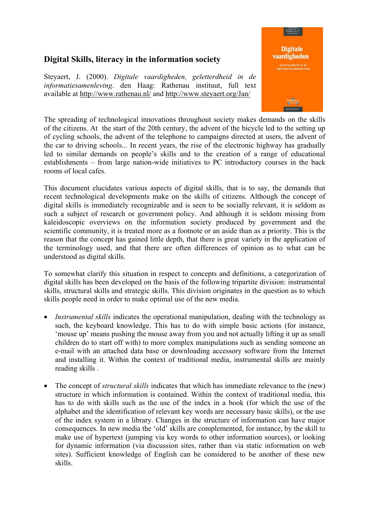## **Digital Skills, literacy in the information society**

Steyaert, J. (2000). *Digitale vaardigheden, geletterdheid in de informatiesamenleving*. den Haag: Rathenau instituut, full text available at http://www.rathenau.nl/ and http://www.steyaert.org/Jan/



The spreading of technological innovations throughout society makes demands on the skills of the citizens. At the start of the 20th century, the advent of the bicycle led to the setting up of cycling schools, the advent of the telephone to campaigns directed at users, the advent of the car to driving schools... In recent years, the rise of the electronic highway has gradually led to similar demands on people's skills and to the creation of a range of educational establishments – from large nation-wide initiatives to PC introductory courses in the back rooms of local cafes.

This document elucidates various aspects of digital skills, that is to say, the demands that recent technological developments make on the skills of citizens. Although the concept of digital skills is immediately recognizable and is seen to be socially relevant, it is seldom as such a subject of research or government policy. And although it is seldom missing from kaleidoscopic overviews on the information society produced by government and the scientific community, it is treated more as a footnote or an aside than as a priority. This is the reason that the concept has gained little depth, that there is great variety in the application of the terminology used, and that there are often differences of opinion as to what can be understood as digital skills.

To somewhat clarify this situation in respect to concepts and definitions, a categorization of digital skills has been developed on the basis of the following tripartite division: instrumental skills, structural skills and strategic skills. This division originates in the question as to which skills people need in order to make optimal use of the new media.

- *Instrumental skills* indicates the operational manipulation, dealing with the technology as such, the keyboard knowledge. This has to do with simple basic actions (for instance, 'mouse up' means pushing the mouse away from you and not actually lifting it up as small children do to start off with) to more complex manipulations such as sending someone an e-mail with an attached data base or downloading accessory software from the Internet and installing it. Within the context of traditional media, instrumental skills are mainly reading skills .
- The concept of *structural skills* indicates that which has immediate relevance to the (new) structure in which information is contained. Within the context of traditional media, this has to do with skills such as the use of the index in a book (for which the use of the alphabet and the identification of relevant key words are necessary basic skills), or the use of the index system in a library. Changes in the structure of information can have major consequences. In new media the 'old' skills are complemented, for instance, by the skill to make use of hypertext (jumping via key words to other information sources), or looking for dynamic information (via discussion sites, rather than via static information on web sites). Sufficient knowledge of English can be considered to be another of these new skills.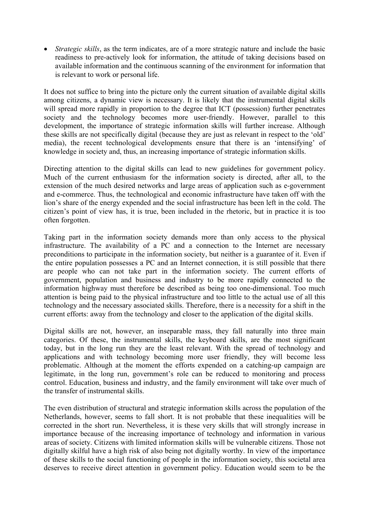• *Strategic skills*, as the term indicates, are of a more strategic nature and include the basic readiness to pre-actively look for information, the attitude of taking decisions based on available information and the continuous scanning of the environment for information that is relevant to work or personal life.

It does not suffice to bring into the picture only the current situation of available digital skills among citizens, a dynamic view is necessary. It is likely that the instrumental digital skills will spread more rapidly in proportion to the degree that ICT (possession) further penetrates society and the technology becomes more user-friendly. However, parallel to this development, the importance of strategic information skills will further increase. Although these skills are not specifically digital (because they are just as relevant in respect to the 'old' media), the recent technological developments ensure that there is an 'intensifying' of knowledge in society and, thus, an increasing importance of strategic information skills.

Directing attention to the digital skills can lead to new guidelines for government policy. Much of the current enthusiasm for the information society is directed, after all, to the extension of the much desired networks and large areas of application such as e-government and e-commerce. Thus, the technological and economic infrastructure have taken off with the lion's share of the energy expended and the social infrastructure has been left in the cold. The citizen's point of view has, it is true, been included in the rhetoric, but in practice it is too often forgotten.

Taking part in the information society demands more than only access to the physical infrastructure. The availability of a PC and a connection to the Internet are necessary preconditions to participate in the information society, but neither is a guarantee of it. Even if the entire population possesses a PC and an Internet connection, it is still possible that there are people who can not take part in the information society. The current efforts of government, population and business and industry to be more rapidly connected to the information highway must therefore be described as being too one-dimensional. Too much attention is being paid to the physical infrastructure and too little to the actual use of all this technology and the necessary associated skills. Therefore, there is a necessity for a shift in the current efforts: away from the technology and closer to the application of the digital skills.

Digital skills are not, however, an inseparable mass, they fall naturally into three main categories. Of these, the instrumental skills, the keyboard skills, are the most significant today, but in the long run they are the least relevant. With the spread of technology and applications and with technology becoming more user friendly, they will become less problematic. Although at the moment the efforts expended on a catching-up campaign are legitimate, in the long run, government's role can be reduced to monitoring and process control. Education, business and industry, and the family environment will take over much of the transfer of instrumental skills.

The even distribution of structural and strategic information skills across the population of the Netherlands, however, seems to fall short. It is not probable that these inequalities will be corrected in the short run. Nevertheless, it is these very skills that will strongly increase in importance because of the increasing importance of technology and information in various areas of society. Citizens with limited information skills will be vulnerable citizens. Those not digitally skilful have a high risk of also being not digitally worthy. In view of the importance of these skills to the social functioning of people in the information society, this societal area deserves to receive direct attention in government policy. Education would seem to be the